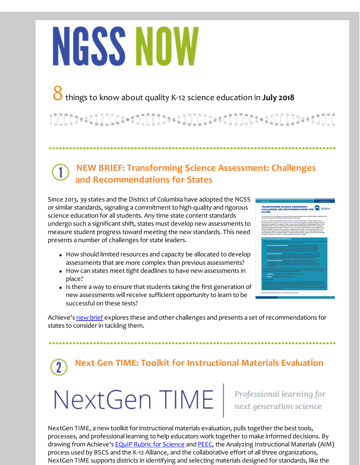# **NGSS NOW**

8things to know about quality K-12 science education in **July <sup>2018</sup>**

1][[[1++c]]]][C++1][[[1b++1]][[[1++C]]]][C++1][[[]D++1]][[

#### **NEW BRIEF: Transforming Science Assessment: Challenges and Recommendations for States**

Since 2013, 39 states and the District of Columbia have adopted the NGSS or similar standards, signaling a commitment to high-quality and rigorous science education for all students. Any time state content standards undergo such a significant shift, states must develop new assessments to measure student progress toward meeting the new standards. This need presents a number of challenges for state leaders.

- How should limited resources and capacity be allocated to develop assessments that are more complex than previous assessments?
- How can states meet tight deadlines to have new assessments in place?
- Is there a way to ensure that students taking the first generation of new assessments will receive sufficient opportunity to learn to be successful on these tests?



Achieve's new [brief](http://r20.rs6.net/tn.jsp?f=001DQ0bdEECOObwn3BpQrCG_bT7qJJXiekzhh_SpgD9hffq7gHGPYEEfOENuZYMstDNqUuZ7IkfmaE2tp62eWf5J_AONUsaz1PKjN1PBl931RGyYnYNonvfsSYyoeYKL2hpIVwx5bj68whGWvWD8hR-jjE-VZPeZEAeTwUujmRYqzPAVMNrP_RxA42kq-gIOUh4OvQ4q9d23zQ7rnX8GUvmmg==&c=&ch=) explores these and other challenges and presents a set of recommendations for states to consider in tackling them.

**Next Gen TIME: Toolkit for Instructional Materials Evaluation**

## NextGen TIME | Professional learning for

NextGen TIME, a new toolkit for instructional materials evaluation, pulls together the best tools, processes, and professional learning to help educators work together to make informed decisions. By drawing from Achieve's EQuIP Rubric for [Science](http://r20.rs6.net/tn.jsp?f=001DQ0bdEECOObwn3BpQrCG_bT7qJJXiekzhh_SpgD9hffq7gHGPYEEfMmlYtoJkxtC-3I2YxMTDi4hMNeOurNDhOYg_ojnSFfA0sM0EpkqTP139VSIAWi05pGAI46hiNC_DB0Hlzvcs97rIDiMcNqfpwT8x2DWL-wrjFMZngOLv0HRN9uP1dy3S5ib6rkHCgzwWhDugHUc5Omd4iTqsQfZonoSctaRMqhc2ajcrhgjN8YgzAPh_Gcttf5QmtX92OqkAOGoi1nhllLq3ibbDj7D8OouSGIxqWJnf-oXcrNAsJubPRTI5-sdOH3WVQbkTDvmsD2dEZP3QGk03Bekx-GT3rZwVeUrjZ5shet73WZvnjyoZZgyYguIlladZYVdaUBQJ8IbUVKruCAHWToQOJclCQLDwgT_z_n8FmsLDqwVZpuRRGfKeR9IOoQbpRuk5TaiKP5lVzeqGT0=&c=&ch=) and [PEEC](http://r20.rs6.net/tn.jsp?f=001DQ0bdEECOObwn3BpQrCG_bT7qJJXiekzhh_SpgD9hffq7gHGPYEEfMmlYtoJkxtCvPwh8Z4_Ra0DxMGsgN0XkrXTN9tuhE7Mu8Lpr9Z49Lbnn6Owc59qRub-MV9avKAZNOtW_XLdU7kHM9VVBVqorvuE1pOFMWKW3e3b35F3ZQfT1i5jo1hrIHF5xZAysvULYFIG0XEj56m2XsqqzeMFkkMhDpi17F8S8LEph6KLUWpeZMWJvqVLiFUn9-JuPGUXpaFyQUFYlxvHqn-tz8MwFhAA4qiNO0YUklgXN48nWpt1hedFyfcXasAae91eWnf_BsYyOF2UGxHkfbqkfmK6Bk7OJNHQ1WQ7iDvUQV-QV9-W2K_CmNlDYAK90-wDSEiWy1eFYmDkbEHhEsFsQ_EE0o5_wRQ47Et4gPVrWae_OkwzFQjXOuQ3JwEIHjqEiY60&c=&ch=), the Analyzing Instructional Materials (AIM) process used by BSCS and the K-12 Alliance, and the collaborative effort of all three organizations, NextGen TIME supports districts in identifying and selecting materials designed for standards, like the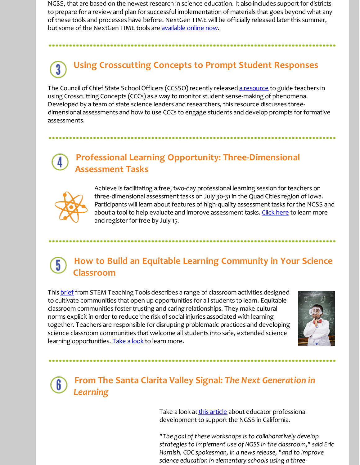NGSS, that are based on the newest research in science education. It also includes support for districts to prepare for a review and plan for successful implementation of materials that goes beyond what any of these tools and processes have before. NextGen TIME will be officially released later this summer, but some of the NextGen TIME tools are [available](http://r20.rs6.net/tn.jsp?f=001DQ0bdEECOObwn3BpQrCG_bT7qJJXiekzhh_SpgD9hffq7gHGPYEEfNFyAjn12T9bjYOfH1aRLDDAD2xB8Vnadxi8tpMep6W3ZG-obV2pEDFJHemUr8GREA3RWCDSZPJ6n0YhwsZda137jaZGEdxiHiceutd3msc_Vd4QAFLretlOztEMS9BWpm0CkPQfspCevfJ0mxhC8o_X0yjZl8nM2KJF6187Nh2iSIr4yvAd_Q5SzSyH24OdLk29MMlDr8VzEo45wR3Tc_lFTGFRsijV48tFXlWv6j55mxSsJVNFqg7Z1ntHWjm_uHM0yoH1a5d8vqlv2U41801r_RGifcuXxcKHsdgiezHl8Xix7wZsDwdeEPr5luIym3xPZtI-yljKN2Soasyd_wDom1XN1iEwfagwa7dx8oYXkuRWdkRIGYk=&c=&ch=) online now.

### **Using Crosscutting Concepts to Prompt Student Responses**

The Council of Chief State School Officers (CCSSO) recently released a [resource](http://r20.rs6.net/tn.jsp?f=001DQ0bdEECOObwn3BpQrCG_bT7qJJXiekzhh_SpgD9hffq7gHGPYEEfMmlYtoJkxtCqDpneoG49ebWdg5qpjBZjIIn4gPMUjE6zE0WHEHXKq7UIgLt16g2OeplYlY634NRbIDdR001qI8o6uNYgMvUWwZTxhbU5I29TlHOS-kxV9dZnCkJnD9HUo3YGC41J84-tmKhpSeI9vA253W_VEqi02ec1ULKUS0EyGbeVuE1Z8sDzJCgptw902hDl4-BALWggJh_s7pAX2g=&c=&ch=) to guide teachers in using Crosscutting Concepts (CCCs) as a way to monitor student sense-making of phenomena. Developed by a team of state science leaders and researchers, this resource discusses threedimensional assessments and how to use CCCs to engage students and develop prompts for formative assessments.

#### **Professional Learning Opportunity: Three-Dimensional Assessment Tasks**



Achieve is facilitating a free, two-day professional learning session for teachers on three-dimensional assessment tasks on July 30-31 in the Quad Cities region of Iowa. Participants will learn about features of high-quality assessment tasks for the NGSS and about a tool to help evaluate and improve assessment tasks. Click [here](http://r20.rs6.net/tn.jsp?f=001DQ0bdEECOObwn3BpQrCG_bT7qJJXiekzhh_SpgD9hffq7gHGPYEEfMmlYtoJkxtCvSZyCHr03fOynmTeRLApve5t-n5CSQGSEDw4cDz8vEltpbixyVQqB0J65NAP6hm7gPSfRWX4cq_RXCXjR16GaUZTHz4DsZ1dnbQazOmDVc5AI-OLbo2wxzR75eBFcBnyLf7Of6OP9uuYqs5eiECJzfPorwrrE96FgDor3NfclhZBaWmZ_xDimlx7rRFUZuqBeLE_DnzcjxPGWFeTT43r1g==&c=&ch=) to learn more and register for free by July 15.

#### **How to Build an Equitable Learning Community in Your Science** 5 **Classroom**

This [brief](http://r20.rs6.net/tn.jsp?f=001DQ0bdEECOObwn3BpQrCG_bT7qJJXiekzhh_SpgD9hffq7gHGPYEEfNFyAjn12T9bl2-xKtUrDrGFMY-4ZmN7pcrrB_PWmH4gQetL2EcdilvKdJCnMNbj1wKNybdlQZ9FvEUKsAN6xCxGGTf6COo2BPoXcczWCKt3kgGNnLAJ6bUZsDI4bXnKkLm6Ca5Xb2IG&c=&ch=) from STEM Teaching Tools describes a range of classroom activities designed to cultivate communities that open up opportunities for all students to learn. Equitable classroom communities foster trusting and caring relationships. They make cultural norms explicit in order to reduce the risk of social injuries associated with learning together. Teachers are responsible for disrupting problematic practices and developing science classroom communities that welcome all students into safe, extended science learning opportunities. [Take](http://r20.rs6.net/tn.jsp?f=001DQ0bdEECOObwn3BpQrCG_bT7qJJXiekzhh_SpgD9hffq7gHGPYEEfNFyAjn12T9bl2-xKtUrDrGFMY-4ZmN7pcrrB_PWmH4gQetL2EcdilvKdJCnMNbj1wKNybdlQZ9FvEUKsAN6xCxGGTf6COo2BPoXcczWCKt3kgGNnLAJ6bUZsDI4bXnKkLm6Ca5Xb2IG&c=&ch=) a look to learn more.



#### **From The Santa Clarita Valley Signal:** *The Next Generation in Learning*

Take a look at this [article](http://r20.rs6.net/tn.jsp?f=001DQ0bdEECOObwn3BpQrCG_bT7qJJXiekzhh_SpgD9hffq7gHGPYEEfMmlYtoJkxtCtlMj0koQIFAxuJ7on2vtrR3MO40c9-vIvHt1ylVAbPwgwfPJsGBbFLxoLCENDsvDK3N3cMBGSNHckjOj4awmucKT7I7EjSON8isvMHb9FZfcb2pG9yYgP4zIj1rr8wzxYmCMLnJ7d9yN5h4tJ65NnAb7AFVWO09Z7OAnDmpxr-E=&c=&ch=) about educator professional development to support the NGSS in California.

*"The goal of these workshops is to collaboratively develop strategies to implement use of NGSS in the classroom," said Eric Harnish, COC spokesman, in a news release, "and to improve science education in elementary schools using a three-*